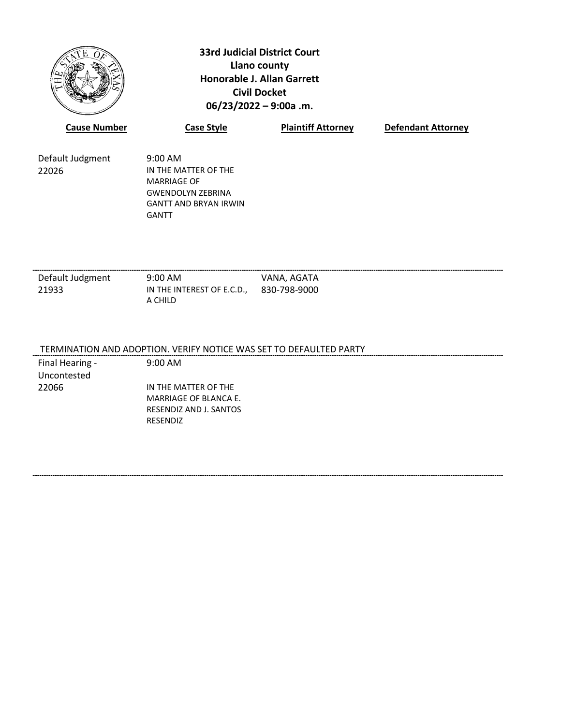

**33rd Judicial District Court Llano county Honorable J. Allan Garrett Civil Docket 06/23/2022 – 9:00a .m.**

| <b>Cause Number</b> | <b>Case Style</b>            | <b>Plaintiff Attorney</b> | <b>Defendant Attorney</b> |
|---------------------|------------------------------|---------------------------|---------------------------|
| Default Judgment    | $9:00 \text{ AM}$            |                           |                           |
| 22026               | IN THE MATTER OF THE         |                           |                           |
|                     | <b>MARRIAGE OF</b>           |                           |                           |
|                     | <b>GWENDOLYN ZEBRINA</b>     |                           |                           |
|                     | <b>GANTT AND BRYAN IRWIN</b> |                           |                           |
|                     | GANTT                        |                           |                           |

Default Judgment 9:00 AM VANA, AGATA 21933 IN THE INTEREST OF E.C.D., 830-798-9000 A CHILD

### TERMINATION AND ADOPTION. VERIFY NOTICE WAS SET TO DEFAULTED PARTY

Final Hearing - Uncontested

22066 IN THE MATTER OF THE MARRIAGE OF BLANCA E. RESENDIZ AND J. SANTOS RESENDIZ

9:00 AM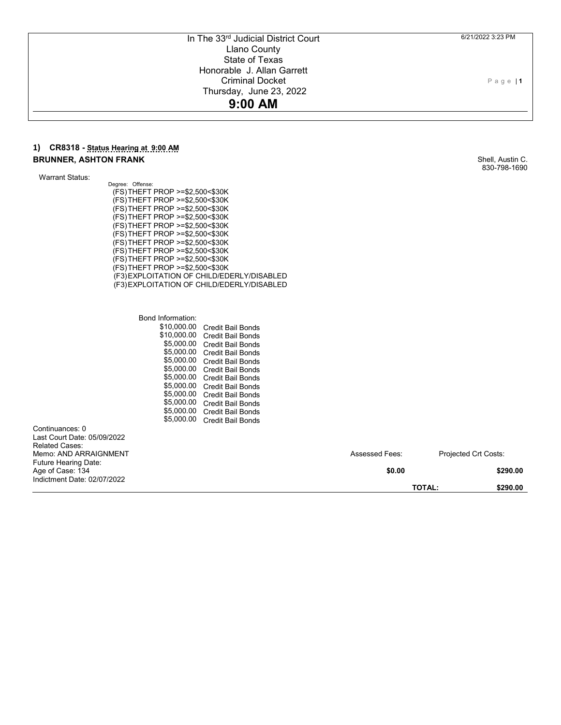#### 6/21/2022 3:23 PM

Page | **1**

# In The 33<sup>rd</sup> Judicial District Court Llano County State of Texas Honorable J. Allan Garrett Criminal Docket Thursday, June 23, 2022

# **9:00 AM**

### **1) CR8318 - Status Hearing at 9:00 AM BRUNNER, ASHTON FRANK**

Warrant Status:

Continuances: 0

Related Cases:

Age of Case: 134

Last Court Date: 05/09/2022

Memo: AND ARRAIGNMENT Future Hearing Date:

Indictment Date: 02/07/2022

Degree: Offense: (FS) THEFT PROP >=\$2,500<\$30K (FS) THEFT PROP >=\$2,500<\$30K (FS) THEFT PROP >=\$2,500<\$30K (FS) THEFT PROP >=\$2,500<\$30K (FS) THEFT PROP >=\$2,500<\$30K (FS) THEFT PROP >=\$2,500<\$30K (FS) THEFT PROP >=\$2,500<\$30K (FS) THEFT PROP >=\$2,500<\$30K (FS) THEFT PROP >=\$2,500<\$30K (FS) THEFT PROP >=\$2,500<\$30K (F3) EXPLOITATION OF CHILD/EDERLY/DISABLED (F3) EXPLOITATION OF CHILD/EDERLY/DISABLED

> Bond Information: \$10,000.00 Credit Bail Bonds \$10,000.00 Credit Bail Bonds \$5,000.00 Credit Bail Bonds \$5,000.00 Credit Bail Bonds \$5,000.00 Credit Bail Bonds \$5,000.00 Credit Bail Bonds \$5,000.00 Credit Bail Bonds \$5,000.00 Credit Bail Bonds \$5,000.00 Credit Bail Bonds \$5,000.00 Credit Bail Bonds \$5,000.00 Credit Bail Bonds \$5,000.00 Credit Bail Bonds

Shell, Austin C. 830-798-1690

Assessed Fees: Projected Crt Costs:

**\$0.00 \$290.00**

**TOTAL: \$290.00**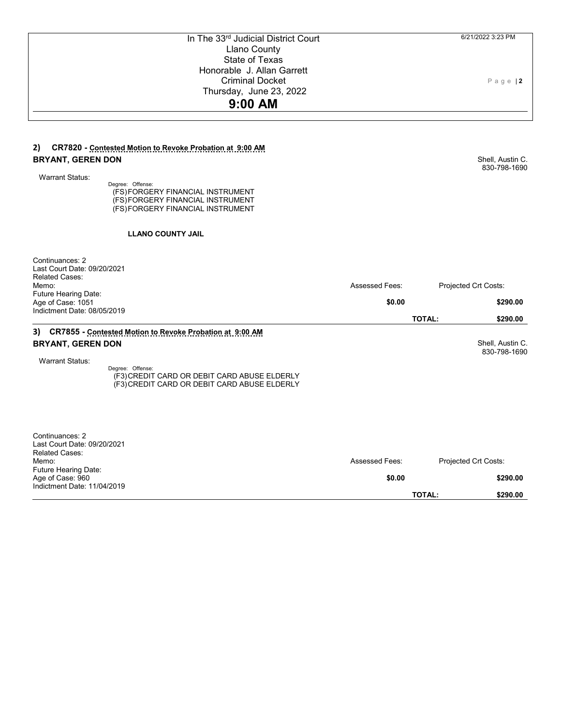| In The 33rd Judicial District Court<br><b>Llano County</b>             |                | 6/21/2022 3:23 PM                |
|------------------------------------------------------------------------|----------------|----------------------------------|
| <b>State of Texas</b>                                                  |                |                                  |
| Honorable J. Allan Garrett                                             |                |                                  |
| <b>Criminal Docket</b>                                                 |                | $P$ age   2                      |
| Thursday, June 23, 2022                                                |                |                                  |
| 9:00 AM                                                                |                |                                  |
|                                                                        |                |                                  |
|                                                                        |                |                                  |
| 2)<br>CR7820 - Contested Motion to Revoke Probation at 9:00 AM         |                |                                  |
| <b>BRYANT, GEREN DON</b>                                               |                | Shell, Austin C.<br>830-798-1690 |
| <b>Warrant Status:</b>                                                 |                |                                  |
| Degree: Offense:                                                       |                |                                  |
| (FS) FORGERY FINANCIAL INSTRUMENT<br>(FS) FORGERY FINANCIAL INSTRUMENT |                |                                  |
| (FS)FORGERY FINANCIAL INSTRUMENT                                       |                |                                  |
|                                                                        |                |                                  |
| <b>LLANO COUNTY JAIL</b>                                               |                |                                  |
| Continuances: 2                                                        |                |                                  |
| Last Court Date: 09/20/2021                                            |                |                                  |
| <b>Related Cases:</b><br>Memo:                                         | Assessed Fees: | Projected Crt Costs:             |
| Future Hearing Date:                                                   |                |                                  |
| Age of Case: 1051                                                      | \$0.00         | \$290.00                         |
| Indictment Date: 08/05/2019                                            |                | <b>TOTAL:</b><br>\$290.00        |
| 3) CR7855 - Contested Motion to Revoke Probation at 9:00 AM            |                |                                  |
| <b>BRYANT, GEREN DON</b>                                               |                | Shell, Austin C.                 |
|                                                                        |                | 830-798-1690                     |
| <b>Warrant Status:</b>                                                 |                |                                  |
| Degree: Offense:<br>(F3) CREDIT CARD OR DEBIT CARD ABUSE ELDERLY       |                |                                  |
| (F3) CREDIT CARD OR DEBIT CARD ABUSE ELDERLY                           |                |                                  |
|                                                                        |                |                                  |
|                                                                        |                |                                  |
|                                                                        |                |                                  |
| Continuances: 2                                                        |                |                                  |
| Last Court Date: 09/20/2021                                            |                |                                  |
| <b>Related Cases:</b><br>Memo:                                         | Assessed Fees: | Projected Crt Costs:             |
| Future Hearing Date:                                                   |                |                                  |

**\$0.00 \$290.00**

**TOTAL: \$290.00**

Age of Case: 960

Indictment Date: 11/04/2019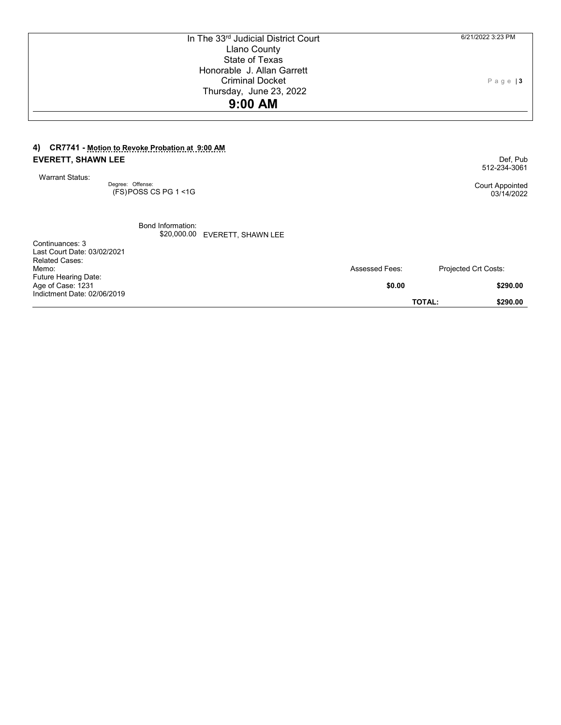| In The 33rd Judicial District Court                                                                                                                     |                       | 6/21/2022 3:23 PM                                         |
|---------------------------------------------------------------------------------------------------------------------------------------------------------|-----------------------|-----------------------------------------------------------|
| <b>Llano County</b>                                                                                                                                     |                       |                                                           |
| State of Texas                                                                                                                                          |                       |                                                           |
| Honorable J. Allan Garrett                                                                                                                              |                       |                                                           |
| <b>Criminal Docket</b>                                                                                                                                  |                       | $P$ a g e $ 3$                                            |
| Thursday, June 23, 2022                                                                                                                                 |                       |                                                           |
| 9:00 AM                                                                                                                                                 |                       |                                                           |
| CR7741 - Motion to Revoke Probation at 9:00 AM<br>4)<br><b>EVERETT, SHAWN LEE</b><br><b>Warrant Status:</b><br>Degree: Offense:<br>(FS)POSS CS PG 1 <1G |                       | Def. Pub<br>512-234-3061<br>Court Appointed<br>03/14/2022 |
| Bond Information:<br>\$20,000.00 EVERETT, SHAWN LEE<br>Continuances: 3<br>Last Court Date: 03/02/2021<br><b>Related Cases:</b><br>Memo:                 | <b>Assessed Fees:</b> | Projected Crt Costs:                                      |
| Future Hearing Date:<br>Age of Case: 1231                                                                                                               | \$0.00                | \$290.00                                                  |
|                                                                                                                                                         |                       |                                                           |

**TOTAL: \$290.00**

Indictment Date: 02/06/2019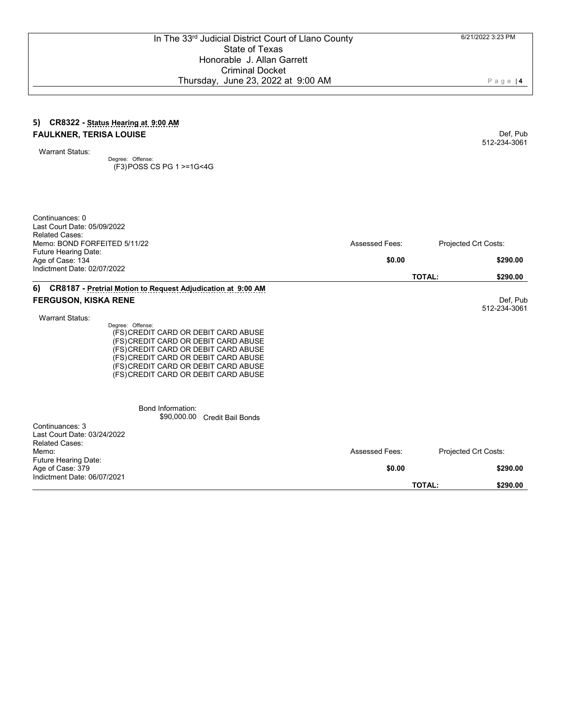### **5) CR8322 - Status Hearing at 9:00 AM FAULKNER, TERISA LOUISE**

Warrant Status:

Degree: Offense: (F3) POSS CS PG 1 >=1G<4G

| Continuances: 0<br>Last Court Date: 05/09/2022<br><b>Related Cases:</b>                                                                                                                                                                                          |                       |                           |
|------------------------------------------------------------------------------------------------------------------------------------------------------------------------------------------------------------------------------------------------------------------|-----------------------|---------------------------|
| Memo: BOND FORFEITED 5/11/22                                                                                                                                                                                                                                     | <b>Assessed Fees:</b> | Projected Crt Costs:      |
| Future Hearing Date:<br>Age of Case: 134<br>Indictment Date: 02/07/2022                                                                                                                                                                                          | \$0.00                | \$290.00                  |
|                                                                                                                                                                                                                                                                  |                       | <b>TOTAL:</b><br>\$290.00 |
| CR8187 - Pretrial Motion to Request Adjudication at 9:00 AM<br>6)                                                                                                                                                                                                |                       |                           |
| <b>FERGUSON, KISKA RENE</b><br><b>Warrant Status:</b>                                                                                                                                                                                                            |                       | Def, Pub<br>512-234-3061  |
| Degree: Offense:<br>(FS) CREDIT CARD OR DEBIT CARD ABUSE<br>(FS) CREDIT CARD OR DEBIT CARD ABUSE<br>(FS) CREDIT CARD OR DEBIT CARD ABUSE<br>(FS) CREDIT CARD OR DEBIT CARD ABUSE<br>(FS) CREDIT CARD OR DEBIT CARD ABUSE<br>(FS) CREDIT CARD OR DEBIT CARD ABUSE |                       |                           |
| Bond Information:<br>\$90,000.00<br>Credit Bail Bonds                                                                                                                                                                                                            |                       |                           |
| Continuances: 3<br>Last Court Date: 03/24/2022<br><b>Related Cases:</b><br>Memo:                                                                                                                                                                                 | <b>Assessed Fees:</b> | Projected Crt Costs:      |
| <b>Future Hearing Date:</b><br>Age of Case: 379<br>Indictment Date: 06/07/2021                                                                                                                                                                                   | \$0.00                | \$290.00                  |
|                                                                                                                                                                                                                                                                  |                       | <b>TOTAL:</b><br>\$290.00 |

Page | **4**

Def, Pub 512-234-3061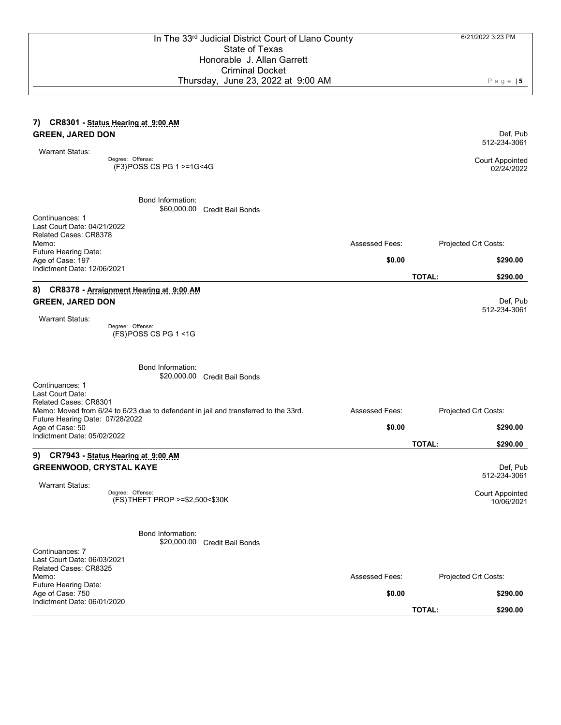Page | **5**

#### **7) CR8301 - Status Hearing at 9:00 AM GREEN, JARED DON** Warrant Status: Def, Pub 512-234-3061 Degree: Offense: (F3) POSS CS PG 1 >=1G<4G Court Appointed Bond Information: \$60,000.00 Credit Bail Bonds Continuances: 1 Last Court Date: 04/21/2022 Related Cases: CR8378 Memo: Future Hearing Date: Assessed Fees: Projected Crt Costs: Age of Case: 197 Indictment Date: 12/06/2021 **\$0.00 \$290.00 TOTAL: \$290.00 8) CR8378 - Arraignment Hearing at 9:00 AM GREEN, JARED DON** Warrant Status: Def, Pub 512-234-3061 Degree: Offense: (FS) POSS CS PG 1 <1G Bond Information: \$20,000.00 Credit Bail Bonds Continuances: 1 Last Court Date: Related Cases: CR8301 Memo: Moved from 6/24 to 6/23 due to defendant in jail and transferred to the 33rd. Future Hearing Date: 07/28/2022 Assessed Fees: Projected Crt Costs: Age of Case: 50 Indictment Date: 05/02/2022 **\$0.00 \$290.00 TOTAL: \$290.00 9) CR7943 - Status Hearing at 9:00 AM GREENWOOD, CRYSTAL KAYE** Warrant Status: Def, Pub 512-234-3061 Degree: Offense: (FS) THEFT PROP >=\$2,500<\$30K Court Appointed 10/06/2021 Bond Information: \$20,000.00 Credit Bail Bonds Continuances: 7 Last Court Date: 06/03/2021 Related Cases: CR8325 Memo: Future Hearing Date: Assessed Fees: Projected Crt Costs: Age of Case: 750 Indictment Date: 06/01/2020 **\$0.00 \$290.00 TOTAL: \$290.00**

02/24/2022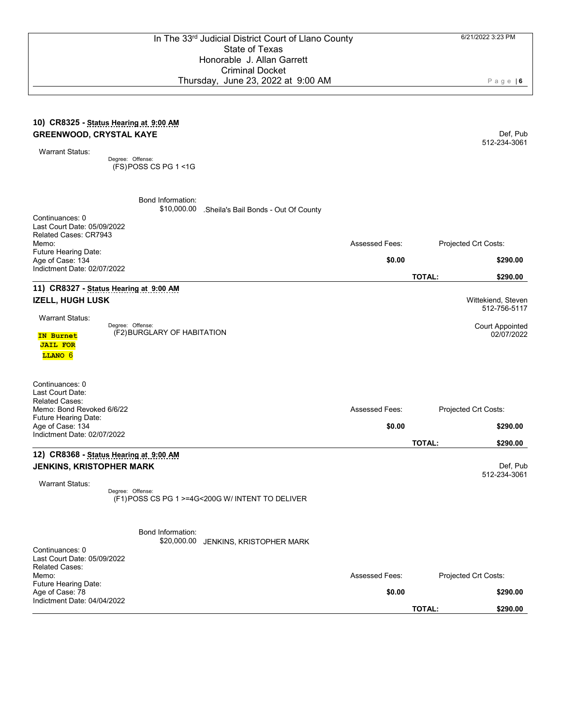\$10,000.00 .Sheila's Bail Bonds - Out Of County

#### **10) CR8325 - Status Hearing at 9:00 AM GREENWOOD, CRYSTAL KAYE**

Warrant Status:

Degree: Offense: (FS) POSS CS PG 1 <1G

Bond Information:

Def, Pub 512-234-3061

02/07/2022

| Continuances: 0<br>Last Court Date: 05/09/2022<br>Related Cases: CR7943<br>Memo: | <b>Assessed Fees:</b> | Projected Crt Costs:                                                                                                                  |
|----------------------------------------------------------------------------------|-----------------------|---------------------------------------------------------------------------------------------------------------------------------------|
| <b>Future Hearing Date:</b>                                                      | \$0.00                |                                                                                                                                       |
| Age of Case: 134<br>Indictment Date: 02/07/2022                                  |                       | \$290.00                                                                                                                              |
|                                                                                  |                       | <b>TOTAL:</b><br>\$290.00                                                                                                             |
| 11) CR8327 - Status Hearing at 9:00 AM                                           |                       |                                                                                                                                       |
| IZELL, HUGH LUSK                                                                 |                       | Wittekiend, Steven<br>512-756-5117                                                                                                    |
| <b>Warrant Status:</b><br>Dogram Offenson                                        |                       | $\bigcap$ and $\bigcap$ $\bigcap$ $\bigcap$ $\bigcap$ $\bigcap$ $\bigcap$ $\bigcap$ $\bigcap$ $\bigcap$ $\bigcap$ $\bigcap$ $\bigcap$ |
|                                                                                  |                       |                                                                                                                                       |

**IN Burnet JAIL FOR LLANO** 6

Degree: (F2) Offense: BURGLARY OF HABITATION Court Appointed

Continuances: 0 Last Court Date: Related Cases: Memo: Bond Revoked 6/6/22 Future Hearing Date: Assessed Fees: Projected Crt Costs: Age of Case: 134 Indictment Date: 02/07/2022 **\$0.00 \$290.00 TOTAL: \$290.00 12) CR8368 - Status Hearing at 9:00 AM JENKINS, KRISTOPHER MARK** Warrant Status: Def, Pub 512-234-3061

> Degree: Offense: (F1) POSS CS PG 1 >=4G<200G W/ INTENT TO DELIVER

> > Bond Information:

\$20,000.00 JENKINS, KRISTOPHER MARK

| Continuances: 0<br>Last Court Date: 05/09/2022 |                |                           |
|------------------------------------------------|----------------|---------------------------|
| <b>Related Cases:</b>                          |                |                           |
| Memo:                                          | Assessed Fees: | Projected Crt Costs:      |
| <b>Future Hearing Date:</b>                    |                |                           |
| Age of Case: 78                                | \$0.00         | \$290.00                  |
| Indictment Date: 04/04/2022                    |                |                           |
|                                                |                | <b>TOTAL:</b><br>\$290.00 |

Page | **6**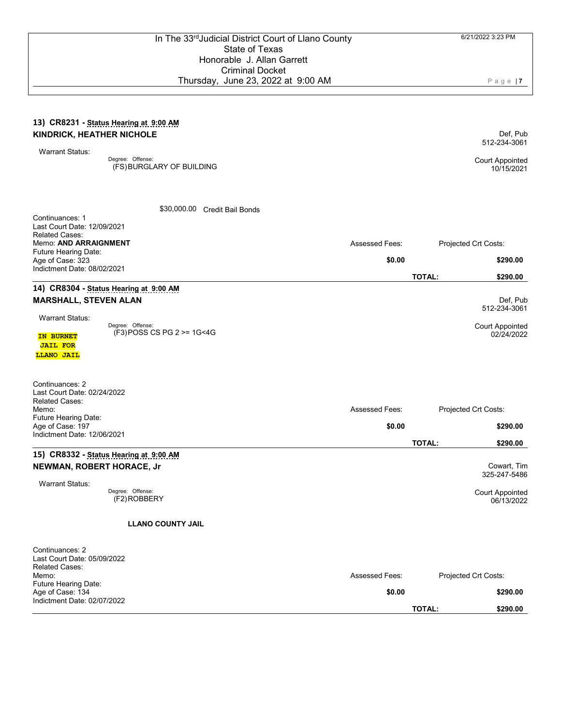#### **13) CR8231 - Status Hearing at 9:00 AM KINDRICK, HEATHER NICHOLE**

Warrant Status:

Degree: Offense: (FS) BURGLARY OF BUILDING Court Appointed

\$30,000.00 Credit Bail Bonds

Def, Pub

512-234-3061

10/15/2021

Def, Pub

Assessed Fees: Projected Crt Costs:

**\$0.00 \$290.00**

**TOTAL: \$290.00**

Continuances: 1 Last Court Date: 12/09/2021 Related Cases: Memo: **AND ARRAIGNMENT** Future Hearing Date: Age of Case: 323 Indictment Date: 08/02/2021

## **14) CR8304 - Status Hearing at 9:00 AM MARSHALL, STEVEN ALAN**

|                 |                            | 512-234-3061           |
|-----------------|----------------------------|------------------------|
| Warrant Status: | Degree: Offense:           | <b>Court Appointed</b> |
| IN BURNET       | (F3) POSS CS PG 2 >= 1G<4G | 02/24/2022             |
| <b>JAIL FOR</b> |                            |                        |
| LLANO JAIL      |                            |                        |

| Continuances: 2<br>Last Court Date: 02/24/2022<br><b>Related Cases:</b><br>Memo: | <b>Assessed Fees:</b> | Projected Crt Costs:                 |  |
|----------------------------------------------------------------------------------|-----------------------|--------------------------------------|--|
| <b>Future Hearing Date:</b><br>Age of Case: 197<br>Indictment Date: 12/06/2021   | \$0.00                | \$290.00                             |  |
|                                                                                  |                       | <b>TOTAL:</b><br>\$290.00            |  |
| 15) CR8332 - Status Hearing at 9:00 AM                                           |                       |                                      |  |
| NEWMAN, ROBERT HORACE, Jr                                                        |                       | Cowart, Tim<br>325-247-5486          |  |
| Warrant Status:                                                                  |                       |                                      |  |
| Degree: Offense:<br>(F2)ROBBERY                                                  |                       | <b>Court Appointed</b><br>06/13/2022 |  |

Court Appointed 06/13/2022

### **LLANO COUNTY JAIL**

| Continuances: 2<br>Last Court Date: 05/09/2022<br><b>Related Cases:</b><br>Memo: | <b>Assessed Fees:</b> | Projected Crt Costs:      |  |
|----------------------------------------------------------------------------------|-----------------------|---------------------------|--|
| <b>Future Hearing Date:</b><br>Age of Case: 134<br>Indictment Date: 02/07/2022   | \$0.00                | \$290.00                  |  |
|                                                                                  |                       | \$290.00<br><b>TOTAL:</b> |  |

Page | **7**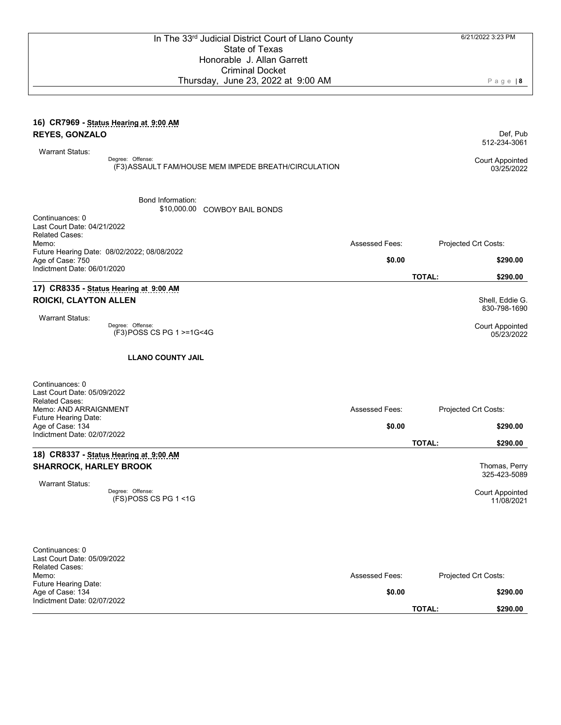Page | **8**

Def, Pub 512-234-3061

Shell, Eddie G. 830-798-1690

Court Appointed 05/23/2022

#### **16) CR7969 - Status Hearing at 9:00 AM REYES, GONZALO**

| Warrant Status: |                                                                          |                                      |
|-----------------|--------------------------------------------------------------------------|--------------------------------------|
|                 | Dearee: Offense:<br>(F3) ASSAULT FAM/HOUSE MEM IMPEDE BREATH/CIRCULATION | <b>Court Appointed</b><br>03/25/2022 |

Bond Information:

\$10,000.00 COWBOY BAIL BONDS

| Continuances: 0<br>Last Court Date: 04/21/2022                  |                       |                           |
|-----------------------------------------------------------------|-----------------------|---------------------------|
| <b>Related Cases:</b>                                           |                       |                           |
| Memo:                                                           | <b>Assessed Fees:</b> | Projected Crt Costs:      |
| Future Hearing Date: 08/02/2022; 08/08/2022<br>Age of Case: 750 | \$0.00                | \$290.00                  |
| Indictment Date: 06/01/2020                                     |                       | <b>TOTAL:</b><br>\$290.00 |
| 17) CR8335 - Status Hearing at 9:00 AM                          |                       |                           |

#### **17) CR8335 - Status Hearing at 9:00 AM ROICKI, CLAYTON ALLEN**

Warrant Status:

Degree: (F3) Offense: POSS CS PG 1 >=1G<4G

#### **LLANO COUNTY JAIL**

| Continuances: 0<br>Last Court Date: 05/09/2022<br><b>Related Cases:</b><br>Memo: AND ARRAIGNMENT | <b>Assessed Fees:</b> | Projected Crt Costs:                 |
|--------------------------------------------------------------------------------------------------|-----------------------|--------------------------------------|
| <b>Future Hearing Date:</b><br>Age of Case: 134<br>Indictment Date: 02/07/2022                   | \$0.00                | \$290.00                             |
|                                                                                                  |                       | <b>TOTAL:</b><br>\$290.00            |
| 18) CR8337 - Status Hearing at 9:00 AM                                                           |                       |                                      |
| <b>SHARROCK, HARLEY BROOK</b>                                                                    |                       | Thomas, Perry<br>325-423-5089        |
| <b>Warrant Status:</b><br>Degree: Offense:<br>$(FS)$ POSS CS PG 1 <1G                            |                       | <b>Court Appointed</b><br>11/08/2021 |

| Continuances: 0<br>Last Court Date: 05/09/2022<br><b>Related Cases:</b> |                |                      |          |
|-------------------------------------------------------------------------|----------------|----------------------|----------|
| Memo:                                                                   | Assessed Fees: | Projected Crt Costs: |          |
| <b>Future Hearing Date:</b>                                             |                |                      |          |
| Age of Case: 134                                                        | \$0.00         |                      | \$290.00 |
| Indictment Date: 02/07/2022                                             |                |                      |          |
|                                                                         |                | <b>TOTAL:</b>        | \$290.00 |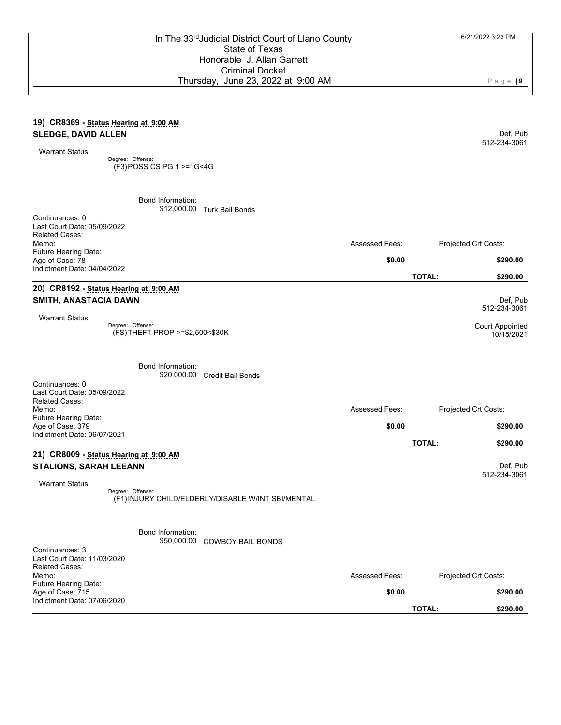#### **19) CR8369 - Status Hearing at 9:00 AM SLEDGE, DAVID ALLEN**

Warrant Status:

Degree: Offense: (F3) POSS CS PG 1 >=1G<4G

> Bond Information: \$12,000.00 Turk Bail Bonds

| Continuances: 0<br>Last Court Date: 05/09/2022<br><b>Related Cases:</b> |                       |                               |
|-------------------------------------------------------------------------|-----------------------|-------------------------------|
| Memo:<br>Future Hearing Date:                                           | <b>Assessed Fees:</b> | Projected Crt Costs:          |
| Age of Case: 78<br>Indictment Date: 04/04/2022                          | \$0.00                | \$290.00                      |
|                                                                         |                       | <b>TOTAL:</b><br>\$290.00     |
| 20) CR8192 - Status Hearing at 9:00 AM                                  |                       |                               |
| SMITH, ANASTACIA DAWN                                                   |                       | Def, Pub<br>512-234-3061      |
| <b>Warrant Status:</b>                                                  |                       |                               |
| Degree: Offense:<br>(FS) THEFT PROP >=\$2,500<\$30K                     |                       | Court Appointed<br>10/15/2021 |
| <b>Bond Information:</b><br>\$20,000.00<br>Credit Bail Bonds            |                       |                               |
| Continuances: 0<br>Last Court Date: 05/09/2022<br><b>Related Cases:</b> |                       |                               |
| Memo:                                                                   | <b>Assessed Fees:</b> | Projected Crt Costs:          |
| Future Hearing Date:<br>Age of Case: 379<br>Indictment Date: 06/07/2021 | \$0.00                | \$290.00                      |

## **21) CR8009 - Status Hearing at 9:00 AM STALIONS, SARAH LEEANN**

Warrant Status:

Degree: (F1) Offense: INJURY CHILD/ELDERLY/DISABLE W/INT SBI/MENTAL

Bond Information:

\$50,000.00 COWBOY BAIL BONDS

| Continuances: 3<br>Last Court Date: 11/03/2020 |  |                       |                      |          |
|------------------------------------------------|--|-----------------------|----------------------|----------|
| <b>Related Cases:</b>                          |  |                       |                      |          |
| Memo:                                          |  | <b>Assessed Fees:</b> | Projected Crt Costs: |          |
| Future Hearing Date:                           |  |                       |                      |          |
| Age of Case: 715                               |  | \$0.00                |                      | \$290.00 |
| Indictment Date: 07/06/2020                    |  |                       |                      |          |
|                                                |  |                       | <b>TOTAL:</b>        | \$290.00 |

Page | **9**

Def, Pub 512-234-3061

**TOTAL: \$290.00**

Def, Pub 512-234-3061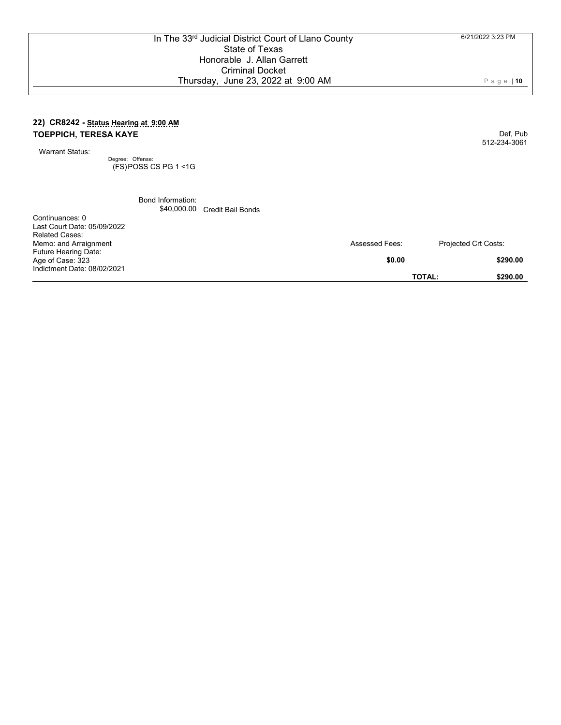### **22) CR8242 - Status Hearing at 9:00 AM TOEPPICH, TERESA KAYE**

Warrant Status:

Degree: Offense: (FS) POSS CS PG 1 <1G

> Bond Information: \$40,000.00 Credit Bail Bonds

| Continuances: 0<br>Last Court Date: 05/09/2022<br><b>Related Cases:</b> |                       |                           |
|-------------------------------------------------------------------------|-----------------------|---------------------------|
| Memo: and Arraignment<br><b>Future Hearing Date:</b>                    | <b>Assessed Fees:</b> | Projected Crt Costs:      |
| Age of Case: 323                                                        | \$0.00                | \$290.00                  |
| Indictment Date: 08/02/2021                                             |                       | <b>TOTAL:</b><br>\$290.00 |

Page | **10**

Def, Pub 512-234-3061

6/21/2022 3:23 PM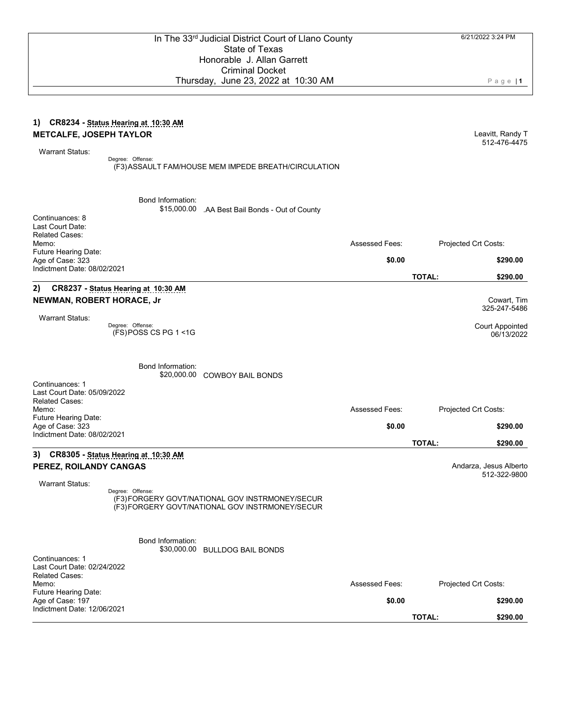Page | **1**

#### **1) CR8234 - Status Hearing at 10:30 AM METCALFE, JOSEPH TAYLOR**

Warrant Status:

Degree: Offense: (F3) ASSAULT FAM/HOUSE MEM IMPEDE BREATH/CIRCULATION Leavitt, Randy T 512-476-4475

Bond Information:

\$15,000.00 .AA Best Bail Bonds - Out of County

| Continuances: 8<br>Last Court Date:                                     |                                             |                                                                                                    |                       |               |                                        |
|-------------------------------------------------------------------------|---------------------------------------------|----------------------------------------------------------------------------------------------------|-----------------------|---------------|----------------------------------------|
| <b>Related Cases:</b><br>Memo:                                          |                                             |                                                                                                    | Assessed Fees:        |               | Projected Crt Costs:                   |
| Future Hearing Date:                                                    |                                             |                                                                                                    |                       |               |                                        |
| Age of Case: 323                                                        |                                             |                                                                                                    | \$0.00                |               | \$290.00                               |
| Indictment Date: 08/02/2021                                             |                                             |                                                                                                    |                       | <b>TOTAL:</b> | \$290.00                               |
| 2)                                                                      | CR8237 - Status Hearing at 10:30 AM         |                                                                                                    |                       |               |                                        |
| NEWMAN, ROBERT HORACE, Jr                                               |                                             |                                                                                                    |                       |               | Cowart. Tim                            |
|                                                                         |                                             |                                                                                                    |                       |               | 325-247-5486                           |
| <b>Warrant Status:</b>                                                  | Degree: Offense:<br>$(FS)$ POSS CS PG 1 <1G |                                                                                                    |                       |               | <b>Court Appointed</b><br>06/13/2022   |
|                                                                         | Bond Information:<br>\$20,000.00            | <b>COWBOY BAIL BONDS</b>                                                                           |                       |               |                                        |
| Continuances: 1<br>Last Court Date: 05/09/2022<br><b>Related Cases:</b> |                                             |                                                                                                    |                       |               |                                        |
| Memo:                                                                   |                                             |                                                                                                    | <b>Assessed Fees:</b> |               | Projected Crt Costs:                   |
| Future Hearing Date:                                                    |                                             |                                                                                                    |                       |               |                                        |
| Age of Case: 323<br>Indictment Date: 08/02/2021                         |                                             |                                                                                                    | \$0.00                |               | \$290.00                               |
|                                                                         |                                             |                                                                                                    |                       | <b>TOTAL:</b> | \$290.00                               |
|                                                                         | 3) CR8305 - Status Hearing at 10:30 AM      |                                                                                                    |                       |               |                                        |
| PEREZ, ROILANDY CANGAS                                                  |                                             |                                                                                                    |                       |               | Andarza, Jesus Alberto<br>512-322-9800 |
| <b>Warrant Status:</b>                                                  |                                             |                                                                                                    |                       |               |                                        |
|                                                                         | Degree: Offense:                            | (F3) FORGERY GOVT/NATIONAL GOV INSTRMONEY/SECUR<br>(F3) FORGERY GOVT/NATIONAL GOV INSTRMONEY/SECUR |                       |               |                                        |
|                                                                         | <b>Bond Information:</b><br>\$30,000.00     | <b>BULLDOG BAIL BONDS</b>                                                                          |                       |               |                                        |
| Continuances: 1<br>Last Court Date: 02/24/2022<br>Related Cases:        |                                             |                                                                                                    |                       |               |                                        |
| Memo:                                                                   |                                             |                                                                                                    | <b>Assessed Fees:</b> |               | Projected Crt Costs:                   |
| Future Hearing Date:<br>Age of Case: 197                                |                                             |                                                                                                    | \$0.00                |               | \$290.00                               |
| Indictment Date: 12/06/2021                                             |                                             |                                                                                                    |                       | <b>TOTAL:</b> | \$290.00                               |
|                                                                         |                                             |                                                                                                    |                       |               |                                        |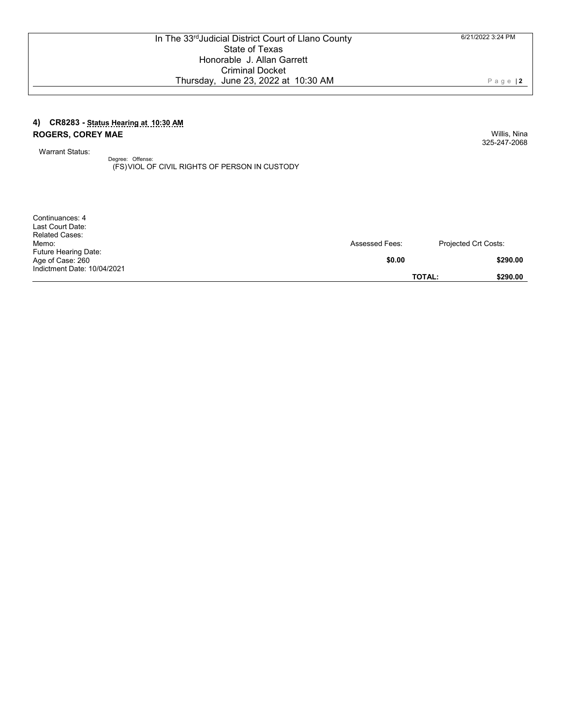### **4) CR8283 - Status Hearing at 10:30 AM ROGERS, COREY MAE**

Warrant Status:

Continuances: 4

Degree: Offense: (FS) VIOL OF CIVIL RIGHTS OF PERSON IN CUSTODY

| Last Court Date:            |                       |                             |
|-----------------------------|-----------------------|-----------------------------|
| <b>Related Cases:</b>       |                       |                             |
| Memo:                       | <b>Assessed Fees:</b> | <b>Projected Crt Costs:</b> |
| <b>Future Hearing Date:</b> |                       |                             |
| Age of Case: 260            | \$0.00                | \$290.00                    |
| Indictment Date: 10/04/2021 |                       |                             |
|                             | <b>TOTAL:</b>         | \$290.00                    |

6/21/2022 3:24 PM

Page | **2**

Willis, Nina 325-247-2068